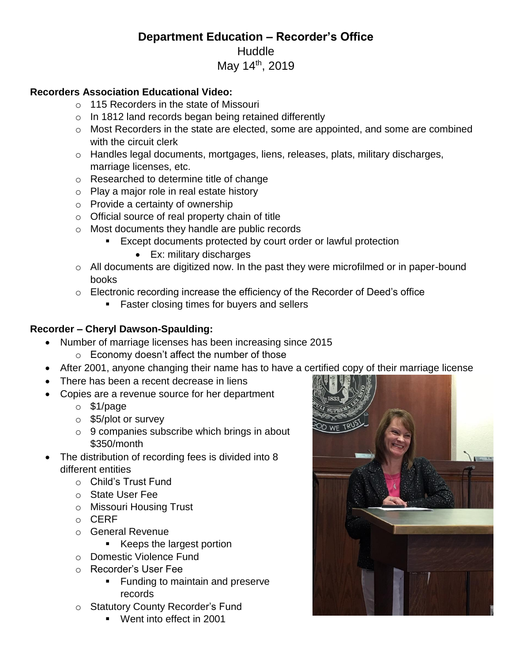## **Department Education – Recorder's Office** Huddle May 14<sup>th</sup>, 2019

## **Recorders Association Educational Video:**

- o 115 Recorders in the state of Missouri
- o In 1812 land records began being retained differently
- o Most Recorders in the state are elected, some are appointed, and some are combined with the circuit clerk
- o Handles legal documents, mortgages, liens, releases, plats, military discharges, marriage licenses, etc.
- o Researched to determine title of change
- o Play a major role in real estate history
- o Provide a certainty of ownership
- o Official source of real property chain of title
- o Most documents they handle are public records
	- **Except documents protected by court order or lawful protection** 
		- Ex: military discharges
- o All documents are digitized now. In the past they were microfilmed or in paper-bound books
- $\circ$  Electronic recording increase the efficiency of the Recorder of Deed's office
	- **Faster closing times for buyers and sellers**

## **Recorder – Cheryl Dawson-Spaulding:**

- Number of marriage licenses has been increasing since 2015
	- o Economy doesn't affect the number of those
- After 2001, anyone changing their name has to have a certified copy of their marriage license
- There has been a recent decrease in liens
- Copies are a revenue source for her department
	- o \$1/page
	- o \$5/plot or survey
	- o 9 companies subscribe which brings in about \$350/month
- The distribution of recording fees is divided into 8 different entities
	- o Child's Trust Fund
	- o State User Fee
	- o Missouri Housing Trust
	- o CERF
	- o General Revenue
		- Keeps the largest portion
	- o Domestic Violence Fund
	- o Recorder's User Fee
		- **Funding to maintain and preserve** records
	- o Statutory County Recorder's Fund
		- Went into effect in 2001

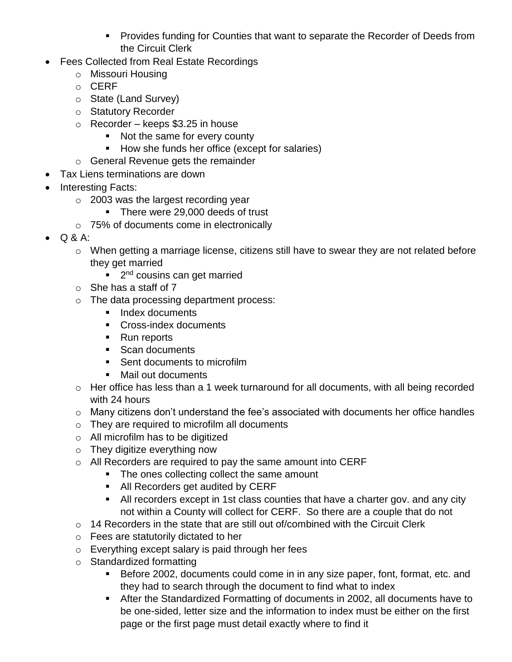- **Provides funding for Counties that want to separate the Recorder of Deeds from** the Circuit Clerk
- Fees Collected from Real Estate Recordings
	- o Missouri Housing
	- o CERF
	- o State (Land Survey)
	- o Statutory Recorder
	- $\circ$  Recorder keeps \$3.25 in house
		- Not the same for every county
		- How she funds her office (except for salaries)
	- o General Revenue gets the remainder
- Tax Liens terminations are down
- Interesting Facts:
	- o 2003 was the largest recording year
		- There were 29,000 deeds of trust
	- o 75% of documents come in electronically
- $\bullet$  Q & A:
	- o When getting a marriage license, citizens still have to swear they are not related before they get married
		- 2<sup>nd</sup> cousins can get married
	- $\circ$  She has a staff of 7
	- o The data processing department process:
		- Index documents
		- Cross-index documents
		- Run reports
		- Scan documents
		- Sent documents to microfilm
		- Mail out documents
	- o Her office has less than a 1 week turnaround for all documents, with all being recorded with 24 hours
	- o Many citizens don't understand the fee's associated with documents her office handles
	- o They are required to microfilm all documents
	- o All microfilm has to be digitized
	- o They digitize everything now
	- o All Recorders are required to pay the same amount into CERF
		- The ones collecting collect the same amount
		- All Recorders get audited by CERF
		- All recorders except in 1st class counties that have a charter gov. and any city not within a County will collect for CERF. So there are a couple that do not
	- o 14 Recorders in the state that are still out of/combined with the Circuit Clerk
	- o Fees are statutorily dictated to her
	- o Everything except salary is paid through her fees
	- o Standardized formatting
		- Before 2002, documents could come in in any size paper, font, format, etc. and they had to search through the document to find what to index
		- After the Standardized Formatting of documents in 2002, all documents have to be one-sided, letter size and the information to index must be either on the first page or the first page must detail exactly where to find it